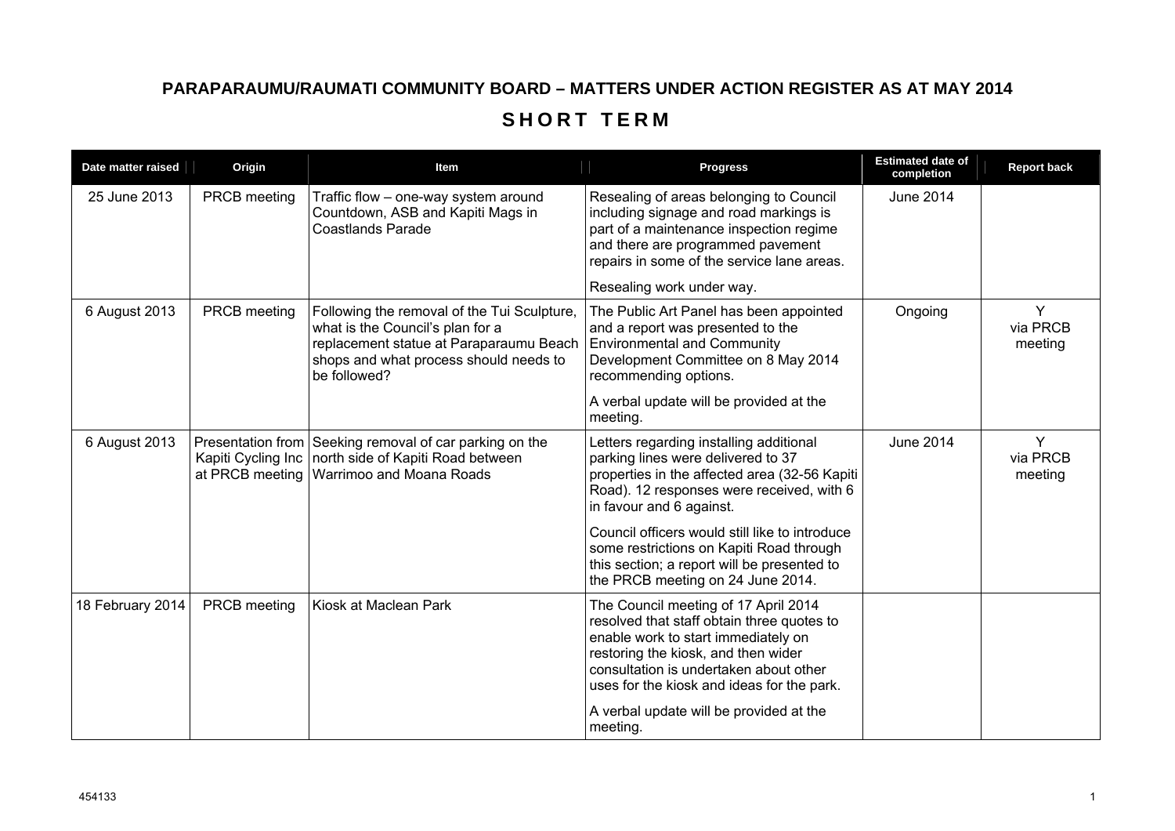## **PARAPARAUMU/RAUMATI COMMUNITY BOARD – MATTERS UNDER ACTION REGISTER AS AT MAY 2014 SHORT TERM**

| Date matter raised | Origin                                | Item                                                                                                                                                                                 | <b>Progress</b>                                                                                                                                                                                                                                          | <b>Estimated date of</b><br>completion | <b>Report back</b>       |
|--------------------|---------------------------------------|--------------------------------------------------------------------------------------------------------------------------------------------------------------------------------------|----------------------------------------------------------------------------------------------------------------------------------------------------------------------------------------------------------------------------------------------------------|----------------------------------------|--------------------------|
| 25 June 2013       | PRCB meeting                          | Traffic flow - one-way system around<br>Countdown, ASB and Kapiti Mags in<br><b>Coastlands Parade</b>                                                                                | Resealing of areas belonging to Council<br>including signage and road markings is<br>part of a maintenance inspection regime<br>and there are programmed pavement<br>repairs in some of the service lane areas.                                          | <b>June 2014</b>                       |                          |
|                    |                                       |                                                                                                                                                                                      | Resealing work under way.                                                                                                                                                                                                                                |                                        |                          |
| 6 August 2013      | <b>PRCB</b> meeting                   | Following the removal of the Tui Sculpture,<br>what is the Council's plan for a<br>replacement statue at Paraparaumu Beach<br>shops and what process should needs to<br>be followed? | The Public Art Panel has been appointed<br>and a report was presented to the<br><b>Environmental and Community</b><br>Development Committee on 8 May 2014<br>recommending options.                                                                       | Ongoing                                | Y<br>via PRCB<br>meeting |
|                    |                                       |                                                                                                                                                                                      | A verbal update will be provided at the<br>meeting.                                                                                                                                                                                                      |                                        |                          |
| 6 August 2013      | Kapiti Cycling Inc<br>at PRCB meeting | Presentation from Seeking removal of car parking on the<br>north side of Kapiti Road between<br>Warrimoo and Moana Roads                                                             | Letters regarding installing additional<br>parking lines were delivered to 37<br>properties in the affected area (32-56 Kapiti<br>Road). 12 responses were received, with 6<br>in favour and 6 against.                                                  | <b>June 2014</b>                       | Y<br>via PRCB<br>meeting |
|                    |                                       |                                                                                                                                                                                      | Council officers would still like to introduce<br>some restrictions on Kapiti Road through<br>this section; a report will be presented to<br>the PRCB meeting on 24 June 2014.                                                                           |                                        |                          |
| 18 February 2014   | <b>PRCB</b> meeting                   | Kiosk at Maclean Park                                                                                                                                                                | The Council meeting of 17 April 2014<br>resolved that staff obtain three quotes to<br>enable work to start immediately on<br>restoring the kiosk, and then wider<br>consultation is undertaken about other<br>uses for the kiosk and ideas for the park. |                                        |                          |
|                    |                                       |                                                                                                                                                                                      | A verbal update will be provided at the<br>meeting.                                                                                                                                                                                                      |                                        |                          |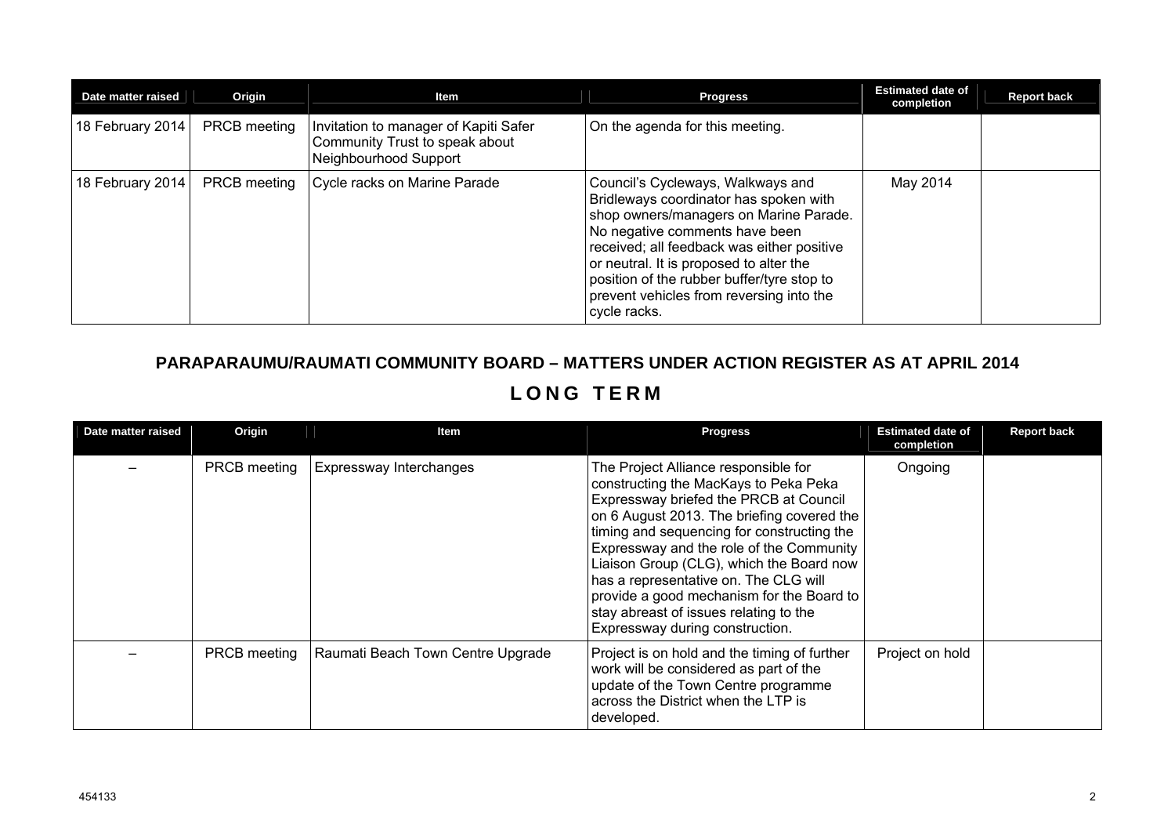| Date matter raised | Origin              | ltem                                                                                             | <b>Progress</b>                                                                                                                                                                                                                                                                                                                                            | <b>Estimated date of</b><br>completion | <b>Report back</b> |
|--------------------|---------------------|--------------------------------------------------------------------------------------------------|------------------------------------------------------------------------------------------------------------------------------------------------------------------------------------------------------------------------------------------------------------------------------------------------------------------------------------------------------------|----------------------------------------|--------------------|
| 18 February 2014   | <b>PRCB</b> meeting | Invitation to manager of Kapiti Safer<br>Community Trust to speak about<br>Neighbourhood Support | On the agenda for this meeting.                                                                                                                                                                                                                                                                                                                            |                                        |                    |
| 18 February 2014   | <b>PRCB</b> meeting | Cycle racks on Marine Parade                                                                     | Council's Cycleways, Walkways and<br>Bridleways coordinator has spoken with<br>shop owners/managers on Marine Parade.<br>No negative comments have been<br>received; all feedback was either positive<br>or neutral. It is proposed to alter the<br>position of the rubber buffer/tyre stop to<br>prevent vehicles from reversing into the<br>cycle racks. | May 2014                               |                    |

## **PARAPARAUMU/RAUMATI COMMUNITY BOARD – MATTERS UNDER ACTION REGISTER AS AT APRIL 2014**

## **LONG TERM**

| Date matter raised | Origin       | Item                              | <b>Progress</b>                                                                                                                                                                                                                                                                                                                                                                                                                                                                | <b>Estimated date of</b><br>completion | <b>Report back</b> |
|--------------------|--------------|-----------------------------------|--------------------------------------------------------------------------------------------------------------------------------------------------------------------------------------------------------------------------------------------------------------------------------------------------------------------------------------------------------------------------------------------------------------------------------------------------------------------------------|----------------------------------------|--------------------|
|                    | PRCB meeting | Expressway Interchanges           | The Project Alliance responsible for<br>constructing the MacKays to Peka Peka<br>Expressway briefed the PRCB at Council<br>on 6 August 2013. The briefing covered the<br>timing and sequencing for constructing the<br>Expressway and the role of the Community<br>Liaison Group (CLG), which the Board now<br>has a representative on. The CLG will<br>provide a good mechanism for the Board to<br>stay abreast of issues relating to the<br>Expressway during construction. | Ongoing                                |                    |
|                    | PRCB meeting | Raumati Beach Town Centre Upgrade | Project is on hold and the timing of further<br>work will be considered as part of the<br>update of the Town Centre programme<br>across the District when the LTP is<br>developed.                                                                                                                                                                                                                                                                                             | Project on hold                        |                    |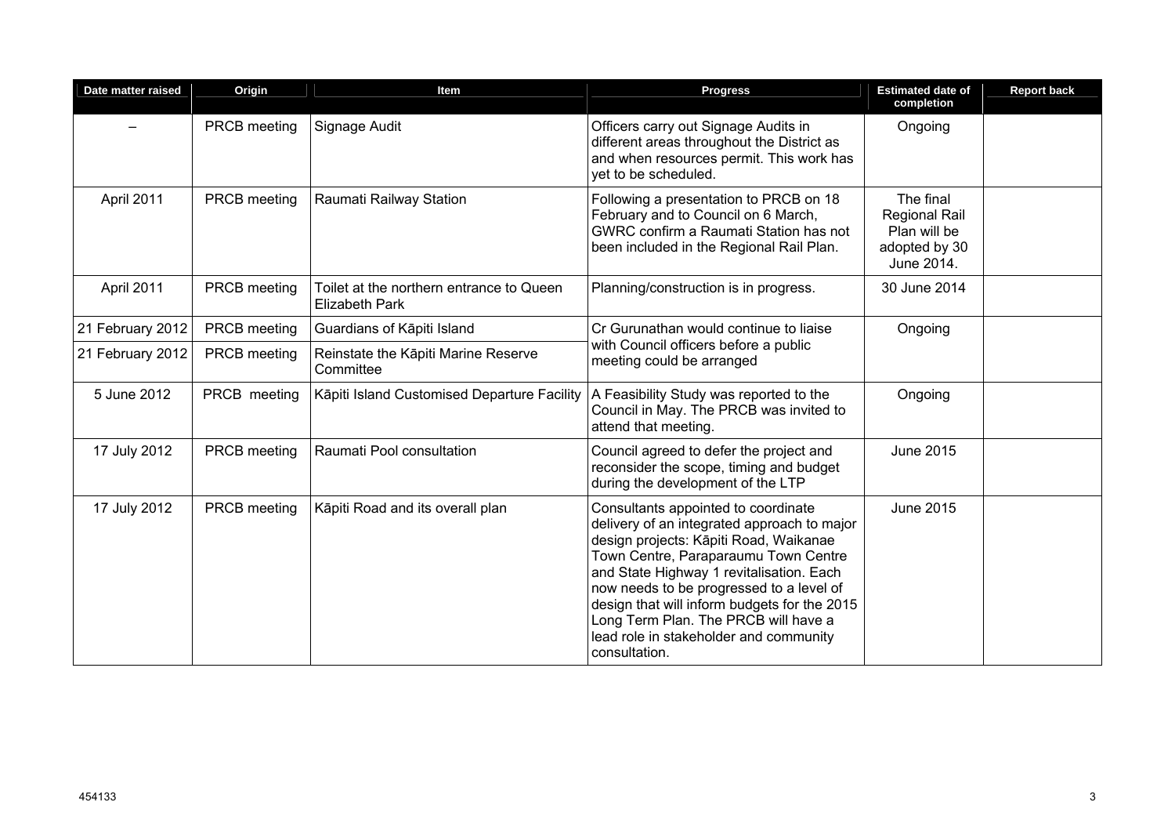| Date matter raised | Origin              | Item                                                              | <b>Progress</b>                                                                                                                                                                                                                                                                                                                                                                                                 | <b>Estimated date of</b><br>completion                                           | <b>Report back</b> |
|--------------------|---------------------|-------------------------------------------------------------------|-----------------------------------------------------------------------------------------------------------------------------------------------------------------------------------------------------------------------------------------------------------------------------------------------------------------------------------------------------------------------------------------------------------------|----------------------------------------------------------------------------------|--------------------|
|                    | PRCB meeting        | Signage Audit                                                     | Officers carry out Signage Audits in<br>different areas throughout the District as<br>and when resources permit. This work has<br>vet to be scheduled.                                                                                                                                                                                                                                                          | Ongoing                                                                          |                    |
| April 2011         | PRCB meeting        | Raumati Railway Station                                           | Following a presentation to PRCB on 18<br>February and to Council on 6 March,<br>GWRC confirm a Raumati Station has not<br>been included in the Regional Rail Plan.                                                                                                                                                                                                                                             | The final<br><b>Regional Rail</b><br>Plan will be<br>adopted by 30<br>June 2014. |                    |
| April 2011         | PRCB meeting        | Toilet at the northern entrance to Queen<br><b>Elizabeth Park</b> | Planning/construction is in progress.                                                                                                                                                                                                                                                                                                                                                                           | 30 June 2014                                                                     |                    |
| 21 February 2012   | <b>PRCB</b> meeting | Guardians of Kāpiti Island                                        | Cr Gurunathan would continue to liaise                                                                                                                                                                                                                                                                                                                                                                          | Ongoing                                                                          |                    |
| 21 February 2012   | PRCB meeting        | Reinstate the Kāpiti Marine Reserve<br>Committee                  | with Council officers before a public<br>meeting could be arranged                                                                                                                                                                                                                                                                                                                                              |                                                                                  |                    |
| 5 June 2012        | PRCB meeting        | Kāpiti Island Customised Departure Facility                       | A Feasibility Study was reported to the<br>Council in May. The PRCB was invited to<br>attend that meeting.                                                                                                                                                                                                                                                                                                      | Ongoing                                                                          |                    |
| 17 July 2012       | PRCB meeting        | Raumati Pool consultation                                         | Council agreed to defer the project and<br>reconsider the scope, timing and budget<br>during the development of the LTP                                                                                                                                                                                                                                                                                         | June 2015                                                                        |                    |
| 17 July 2012       | PRCB meeting        | Kāpiti Road and its overall plan                                  | Consultants appointed to coordinate<br>delivery of an integrated approach to major<br>design projects: Kāpiti Road, Waikanae<br>Town Centre, Paraparaumu Town Centre<br>and State Highway 1 revitalisation. Each<br>now needs to be progressed to a level of<br>design that will inform budgets for the 2015<br>Long Term Plan. The PRCB will have a<br>lead role in stakeholder and community<br>consultation. | June 2015                                                                        |                    |